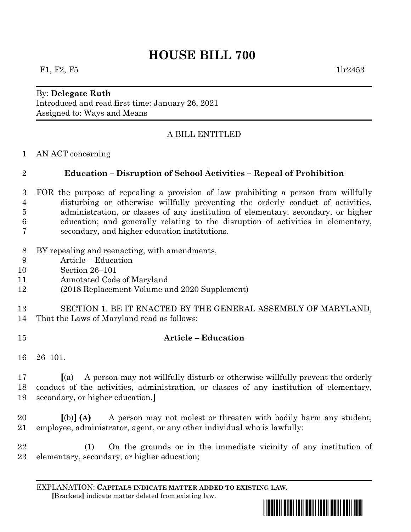# **HOUSE BILL 700**

#### By: **Delegate Ruth** Introduced and read first time: January 26, 2021 Assigned to: Ways and Means

## A BILL ENTITLED

AN ACT concerning

### **Education – Disruption of School Activities – Repeal of Prohibition**

- FOR the purpose of repealing a provision of law prohibiting a person from willfully disturbing or otherwise willfully preventing the orderly conduct of activities, administration, or classes of any institution of elementary, secondary, or higher education; and generally relating to the disruption of activities in elementary, secondary, and higher education institutions.
- BY repealing and reenacting, with amendments,
- Article Education
- Section 26–101
- Annotated Code of Maryland
- (2018 Replacement Volume and 2020 Supplement)
- SECTION 1. BE IT ENACTED BY THE GENERAL ASSEMBLY OF MARYLAND, That the Laws of Maryland read as follows:
- **Article – Education**
- 26–101.

 **[**(a) A person may not willfully disturb or otherwise willfully prevent the orderly conduct of the activities, administration, or classes of any institution of elementary, secondary, or higher education.**]**

 **[**(b)**] (A)** A person may not molest or threaten with bodily harm any student, employee, administrator, agent, or any other individual who is lawfully:

 (1) On the grounds or in the immediate vicinity of any institution of elementary, secondary, or higher education;

EXPLANATION: **CAPITALS INDICATE MATTER ADDED TO EXISTING LAW**.  **[**Brackets**]** indicate matter deleted from existing law.